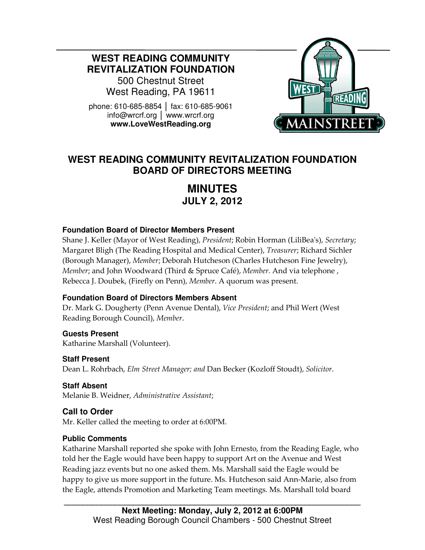**WEST READING COMMUNITY REVITALIZATION FOUNDATION** 

500 Chestnut Street West Reading, PA 19611

phone: 610-685-8854 │ fax: 610-685-9061 info@wrcrf.org │ www.wrcrf.org **www.LoveWestReading.org** 



## **WEST READING COMMUNITY REVITALIZATION FOUNDATION BOARD OF DIRECTORS MEETING**

# **MINUTES JULY 2, 2012**

#### **Foundation Board of Director Members Present**

Shane J. Keller (Mayor of West Reading), President; Robin Horman (LiliBea's), Secretary; Margaret Bligh (The Reading Hospital and Medical Center), Treasurer; Richard Sichler (Borough Manager), Member; Deborah Hutcheson (Charles Hutcheson Fine Jewelry), Member; and John Woodward (Third & Spruce Café), Member. And via telephone, Rebecca J. Doubek, (Firefly on Penn), Member. A quorum was present.

#### **Foundation Board of Directors Members Absent**

Dr. Mark G. Dougherty (Penn Avenue Dental), Vice President; and Phil Wert (West Reading Borough Council), Member.

**Guests Present** Katharine Marshall (Volunteer).

**Staff Present**  Dean L. Rohrbach, Elm Street Manager; and Dan Becker (Kozloff Stoudt), Solicitor.

**Staff Absent**  Melanie B. Weidner, Administrative Assistant;

#### **Call to Order**

Ī

Mr. Keller called the meeting to order at 6:00PM.

#### **Public Comments**

Katharine Marshall reported she spoke with John Ernesto, from the Reading Eagle, who told her the Eagle would have been happy to support Art on the Avenue and West Reading jazz events but no one asked them. Ms. Marshall said the Eagle would be happy to give us more support in the future. Ms. Hutcheson said Ann-Marie, also from the Eagle, attends Promotion and Marketing Team meetings. Ms. Marshall told board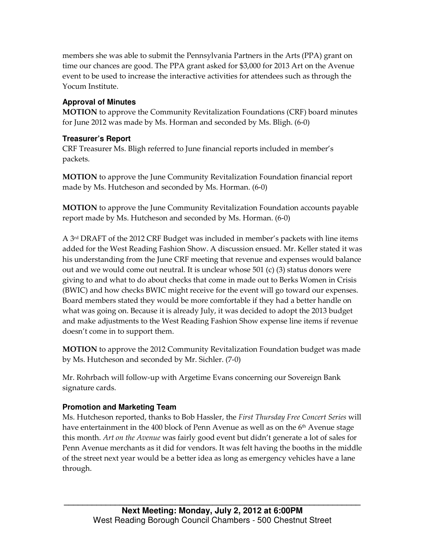members she was able to submit the Pennsylvania Partners in the Arts (PPA) grant on time our chances are good. The PPA grant asked for \$3,000 for 2013 Art on the Avenue event to be used to increase the interactive activities for attendees such as through the Yocum Institute.

#### **Approval of Minutes**

MOTION to approve the Community Revitalization Foundations (CRF) board minutes for June 2012 was made by Ms. Horman and seconded by Ms. Bligh. (6-0)

#### **Treasurer's Report**

CRF Treasurer Ms. Bligh referred to June financial reports included in member's packets.

MOTION to approve the June Community Revitalization Foundation financial report made by Ms. Hutcheson and seconded by Ms. Horman. (6-0)

MOTION to approve the June Community Revitalization Foundation accounts payable report made by Ms. Hutcheson and seconded by Ms. Horman. (6-0)

A 3rd DRAFT of the 2012 CRF Budget was included in member's packets with line items added for the West Reading Fashion Show. A discussion ensued. Mr. Keller stated it was his understanding from the June CRF meeting that revenue and expenses would balance out and we would come out neutral. It is unclear whose 501 (c) (3) status donors were giving to and what to do about checks that come in made out to Berks Women in Crisis (BWIC) and how checks BWIC might receive for the event will go toward our expenses. Board members stated they would be more comfortable if they had a better handle on what was going on. Because it is already July, it was decided to adopt the 2013 budget and make adjustments to the West Reading Fashion Show expense line items if revenue doesn't come in to support them.

MOTION to approve the 2012 Community Revitalization Foundation budget was made by Ms. Hutcheson and seconded by Mr. Sichler. (7-0)

Mr. Rohrbach will follow-up with Argetime Evans concerning our Sovereign Bank signature cards.

#### **Promotion and Marketing Team**

Ms. Hutcheson reported, thanks to Bob Hassler, the First Thursday Free Concert Series will have entertainment in the 400 block of Penn Avenue as well as on the  $6<sup>th</sup>$  Avenue stage this month. Art on the Avenue was fairly good event but didn't generate a lot of sales for Penn Avenue merchants as it did for vendors. It was felt having the booths in the middle of the street next year would be a better idea as long as emergency vehicles have a lane through.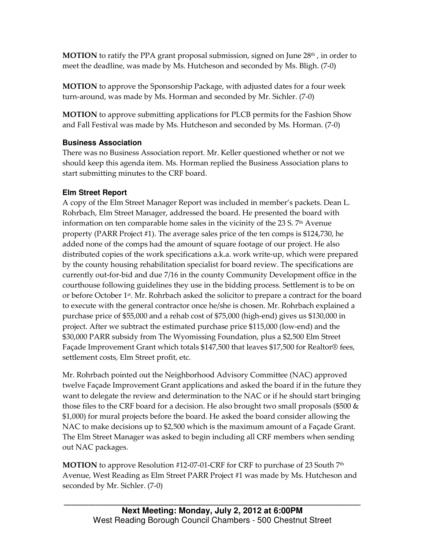**MOTION** to ratify the PPA grant proposal submission, signed on June  $28<sup>th</sup>$ , in order to meet the deadline, was made by Ms. Hutcheson and seconded by Ms. Bligh. (7-0)

MOTION to approve the Sponsorship Package, with adjusted dates for a four week turn-around, was made by Ms. Horman and seconded by Mr. Sichler. (7-0)

MOTION to approve submitting applications for PLCB permits for the Fashion Show and Fall Festival was made by Ms. Hutcheson and seconded by Ms. Horman. (7-0)

## **Business Association**

There was no Business Association report. Mr. Keller questioned whether or not we should keep this agenda item. Ms. Horman replied the Business Association plans to start submitting minutes to the CRF board.

## **Elm Street Report**

A copy of the Elm Street Manager Report was included in member's packets. Dean L. Rohrbach, Elm Street Manager, addressed the board. He presented the board with information on ten comparable home sales in the vicinity of the 23 S.  $7<sup>th</sup>$  Avenue property (PARR Project #1). The average sales price of the ten comps is \$124,730, he added none of the comps had the amount of square footage of our project. He also distributed copies of the work specifications a.k.a. work write-up, which were prepared by the county housing rehabilitation specialist for board review. The specifications are currently out-for-bid and due 7/16 in the county Community Development office in the courthouse following guidelines they use in the bidding process. Settlement is to be on or before October 1st. Mr. Rohrbach asked the solicitor to prepare a contract for the board to execute with the general contractor once he/she is chosen. Mr. Rohrbach explained a purchase price of \$55,000 and a rehab cost of \$75,000 (high-end) gives us \$130,000 in project. After we subtract the estimated purchase price \$115,000 (low-end) and the \$30,000 PARR subsidy from The Wyomissing Foundation, plus a \$2,500 Elm Street Façade Improvement Grant which totals \$147,500 that leaves \$17,500 for Realtor® fees, settlement costs, Elm Street profit, etc.

Mr. Rohrbach pointed out the Neighborhood Advisory Committee (NAC) approved twelve Façade Improvement Grant applications and asked the board if in the future they want to delegate the review and determination to the NAC or if he should start bringing those files to the CRF board for a decision. He also brought two small proposals (\$500  $\&$ \$1,000) for mural projects before the board. He asked the board consider allowing the NAC to make decisions up to \$2,500 which is the maximum amount of a Façade Grant. The Elm Street Manager was asked to begin including all CRF members when sending out NAC packages.

**MOTION** to approve Resolution #12-07-01-CRF for CRF to purchase of 23 South  $7<sup>th</sup>$ Avenue, West Reading as Elm Street PARR Project #1 was made by Ms. Hutcheson and seconded by Mr. Sichler. (7-0)